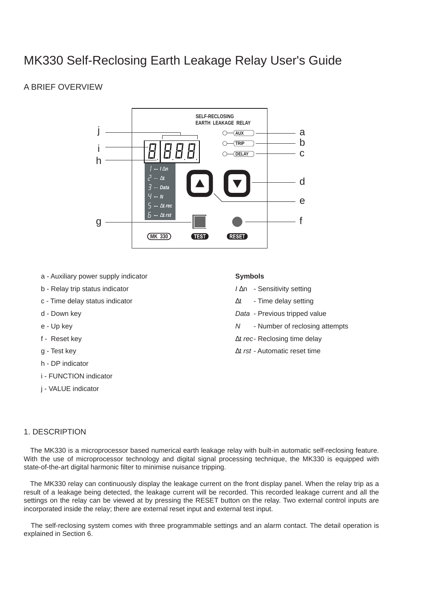# MK330 Self-Reclosing Earth Leakage Relay User's Guide

## A BRIEF OVERVIEW



- a Auxiliary power supply indicator
- b Relay trip status indicator
- c Time delay status indicator
- d Down key
- e Up key
- f Reset key
- g Test key
- h DP indicator
- i FUNCTION indicator
- j VALUE indicator

#### **Symbols**

- *I* Dn Sensitivity setting
- Dt Time delay setting
- *Data* Previous tripped value
- *N* Number of reclosing attempts
- Dt rec- Reclosing time delay
- Dt *rst* Automatic reset time

## 1. DESCRIPTION

The MK330 is a microprocessor based numerical earth leakage relay with built-in automatic self-reclosing feature. With the use of microprocessor technology and digital signal processing technique, the MK330 is equipped with state-of-the-art digital harmonic filter to minimise nuisance tripping.

The MK330 relay can continuously display the leakage current on the front display panel. When the relay trip as a result of a leakage being detected, the leakage current will be recorded. This recorded leakage current and all the settings on the relay can be viewed at by pressing the RESET button on the relay. Two external control inputs are incorporated inside the relay; there are external reset input and external test input.

The self-reclosing system comes with three programmable settings and an alarm contact. The detail operation is explained in Section 6.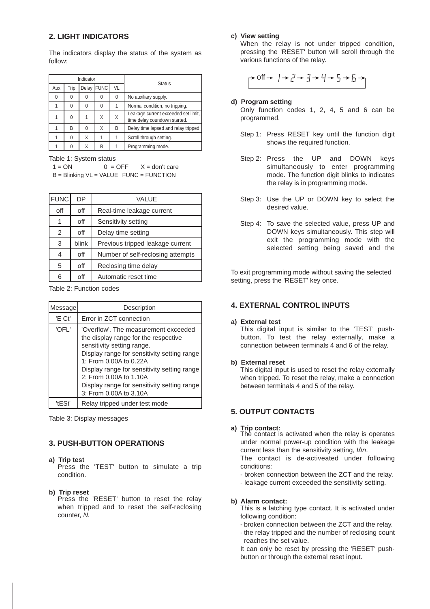### **2. LIGHT INDICATORS**

The indicators display the status of the system as follow:

|     |      | Indicator |                  |    | <b>Status</b>                                                       |
|-----|------|-----------|------------------|----|---------------------------------------------------------------------|
| Aux | Trip |           | Delay FUNC       | VL |                                                                     |
| 0   | 0    | O         | $\left( \right)$ | 0  | No auxiliary supply.                                                |
|     | 0    | $\Omega$  | 0                |    | Normal condition, no tripping.                                      |
|     | 0    |           | X                | Χ  | Leakage current exceeded set limit,<br>time delay coundown started. |
|     | R    | $\Omega$  | Χ                | B  | Delay time lapsed and relay tripped                                 |
|     | 0    | Χ         |                  |    | Scroll through setting.                                             |
|     |      | Χ         | B                |    | Programming mode.                                                   |

Table 1: System status

 $1 = ON$  0 = OFF  $X = don't$  care B = Blinking VL = VALUE FUNC = FUNCTION

| <b>FUNC</b> | DP.   | VALUE                             |  |
|-------------|-------|-----------------------------------|--|
| off         | off   | Real-time leakage current         |  |
|             | off   | Sensitivity setting               |  |
| 2           | off   | Delay time setting                |  |
| 3           | blink | Previous tripped leakage current  |  |
| 4           | off   | Number of self-reclosing attempts |  |
| 5           | off   | Reclosing time delay              |  |
| հ           | off   | Automatic reset time              |  |

Table 2: Function codes

| Message | Description                                                                                                                                                                                                                                                                                                                           |  |  |
|---------|---------------------------------------------------------------------------------------------------------------------------------------------------------------------------------------------------------------------------------------------------------------------------------------------------------------------------------------|--|--|
| 'E Ct'  | Error in ZCT connection                                                                                                                                                                                                                                                                                                               |  |  |
| 'OFL'   | 'Overflow'. The measurement exceeded<br>the display range for the respective<br>sensitivity setting range.<br>Display range for sensitivity setting range<br>1: From 0.00A to 0.22A<br>Display range for sensitivity setting range<br>2: From 0.00A to 1.10A<br>Display range for sensitivity setting range<br>3: From 0.00A to 3.10A |  |  |
| 'tESt'  | Relay tripped under test mode                                                                                                                                                                                                                                                                                                         |  |  |

Table 3: Display messages

#### **3. PUSH-BUTTON OPERATIONS**

**a) Trip test**

Press the 'TEST' button to simulate a trip condition.

**b) Trip reset**

Press the 'RESET' button to reset the relay when tripped and to reset the self-reclosing counter, *N.*

#### **c) View setting**

When the relay is not under tripped condition, pressing the 'RESET' button will scroll through the various functions of the relay.

$$
\rightarrow \text{Off} \rightarrow | \rightarrow | \rightarrow | \rightarrow | \rightarrow | \rightarrow | \rightarrow | \rightarrow | \rightarrow |
$$

#### **d) Program setting**

Only function codes 1, 2, 4, 5 and 6 can be programmed.

- Step 1: Press RESET key until the function digit shows the required function.
- Step 2: Press the UP and DOWN keys simultaneously to enter programming mode. The function digit blinks to indicates the relay is in programming mode.
- Step 3: Use the UP or DOWN key to select the desired value.
- Step 4: To save the selected value, press UP and DOWN keys simultaneously. This step will exit the programming mode with the selected setting being saved and the

To exit programming mode without saving the selected setting, press the 'RESET' key once.

#### **4. EXTERNAL CONTROL INPUTS**

#### **a) External test**

This digital input is similar to the 'TEST' pushbutton. To test the relay externally, make a connection between terminals 4 and 6 of the relay.

#### **b) External reset**

This digital input is used to reset the relay externally when tripped. To reset the relay, make a connection between terminals 4 and 5 of the relay.

### **5. OUTPUT CONTACTS**

**a) Trip contact:** The contact is activated when the relay is operates under normal power-up condition with the leakage current less than the sensitivity setting, *IDn*.

The contact is de-activeated under following conditions:

- broken connection between the ZCT and the relay.
- leakage current exceeded the sensitivity setting.

#### **b) Alarm contact:**

This is a latching type contact. It is activated under following condition:

- broken connection between the ZCT and the relay.
- the relay tripped and the number of reclosing count reaches the set value.

It can only be reset by pressing the 'RESET' pushbutton or through the external reset input.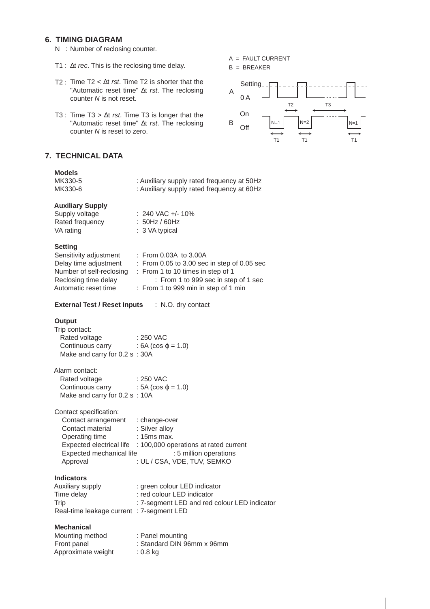## **6. TIMING DIAGRAM**

- N : Number of reclosing counter.
- T1 : t *rec*. This is the reclosing time delay.
- T2 : Time T2 < Dt *rst*. Time T2 is shorter that the "Automatic reset time" Dt rst. The reclosing counter *N* is not reset.
- T3 : Time T3 > Dt *rst*. Time T3 is longer that the "Automatic reset time" Dt rst. The reclosing counter *N* is reset to zero.

## **7. TECHNICAL DATA**

| <b>Models</b><br>MK330-5<br>MK330-6                                                                                         | : Auxiliary supply rated frequency at 50Hz<br>: Auxiliary supply rated frequency at 60Hz                                                                                                                             |
|-----------------------------------------------------------------------------------------------------------------------------|----------------------------------------------------------------------------------------------------------------------------------------------------------------------------------------------------------------------|
| <b>Auxiliary Supply</b><br>Supply voltage<br>Rated frequency<br>VA rating                                                   | $: 240$ VAC $+/- 10\%$<br>$: 50$ Hz / 60Hz<br>: 3 VA typical                                                                                                                                                         |
| <b>Setting</b><br>Sensitivity adjustment<br>Delay time adjustment<br>Reclosing time delay<br>Automatic reset time           | $:$ From 0.03A to 3.00A<br>: From 0.05 to 3.00 sec in step of 0.05 sec<br>Number of self-reclosing : From 1 to 10 times in step of 1<br>: From 1 to 999 sec in step of 1 sec<br>: From 1 to 999 min in step of 1 min |
| <b>External Test / Reset Inputs : N.O. dry contact</b>                                                                      |                                                                                                                                                                                                                      |
| Output<br>Trip contact:<br>Rated voltage<br>Continuous carry : $6A$ (cos j = 1.0)<br>Make and carry for 0.2 s: 30A          | : 250 VAC                                                                                                                                                                                                            |
| Alarm contact:<br>Rated voltage<br>Continuous carry : $5A$ (cos j = 1.0)<br>Make and carry for 0.2 s: 10A                   | : 250 VAC                                                                                                                                                                                                            |
| Contact specification:<br>Contact arrangement<br>Contact material<br>Operating time<br>Expected mechanical life<br>Approval | : change-over<br>: Silver alloy<br>$: 15ms$ max.<br>Expected electrical life : 100,000 operations at rated current<br>: 5 million operations<br>: UL / CSA, VDE, TUV, SEMKO                                          |
| <b>Indicators</b><br>Auxiliary supply<br>Time delay<br>Trip<br>Real-time leakage current : 7-segment LED                    | : green colour LED indicator<br>: red colour LED indicator<br>: 7-segment LED and red colour LED indicator                                                                                                           |
| <b>Mechanical</b><br>Mounting method<br>Front panel<br>Approximate weight                                                   | : Panel mounting<br>: Standard DIN 96mm x 96mm<br>$: 0.8$ kg                                                                                                                                                         |

A = FAULT CURRENT